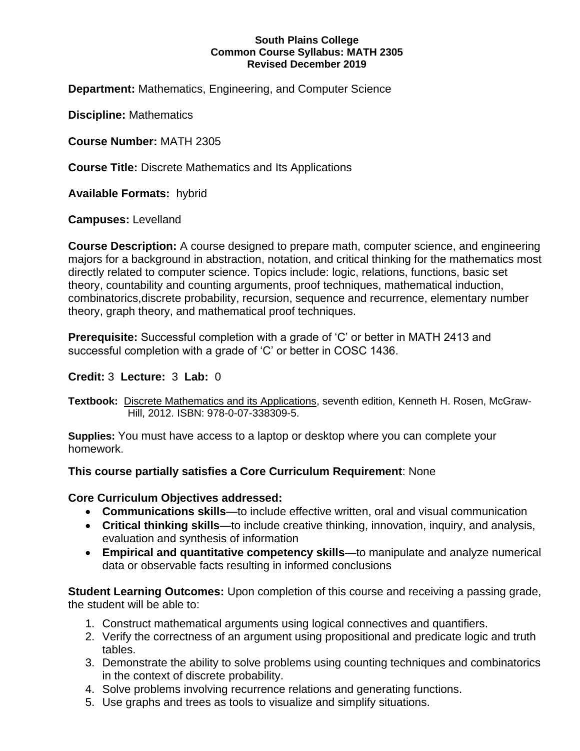#### **South Plains College Common Course Syllabus: MATH 2305 Revised December 2019**

**Department:** Mathematics, Engineering, and Computer Science

**Discipline:** Mathematics

**Course Number:** MATH 2305

**Course Title:** Discrete Mathematics and Its Applications

**Available Formats:** hybrid

**Campuses:** Levelland

**Course Description:** A course designed to prepare math, computer science, and engineering majors for a background in abstraction, notation, and critical thinking for the mathematics most directly related to computer science. Topics include: logic, relations, functions, basic set theory, countability and counting arguments, proof techniques, mathematical induction, combinatorics,discrete probability, recursion, sequence and recurrence, elementary number theory, graph theory, and mathematical proof techniques.

**Prerequisite:** Successful completion with a grade of 'C' or better in MATH 2413 and successful completion with a grade of 'C' or better in COSC 1436.

# **Credit:** 3 **Lecture:** 3 **Lab:** 0

**Textbook:** Discrete Mathematics and its Applications, seventh edition, Kenneth H. Rosen, McGraw-Hill, 2012. ISBN: 978-0-07-338309-5.

**Supplies:** You must have access to a laptop or desktop where you can complete your homework.

# **This course partially satisfies a Core Curriculum Requirement**: None

# **Core Curriculum Objectives addressed:**

- **Communications skills**—to include effective written, oral and visual communication
- **Critical thinking skills**—to include creative thinking, innovation, inquiry, and analysis, evaluation and synthesis of information
- **Empirical and quantitative competency skills**—to manipulate and analyze numerical data or observable facts resulting in informed conclusions

**Student Learning Outcomes:** Upon completion of this course and receiving a passing grade, the student will be able to:

- 1. Construct mathematical arguments using logical connectives and quantifiers.
- 2. Verify the correctness of an argument using propositional and predicate logic and truth tables.
- 3. Demonstrate the ability to solve problems using counting techniques and combinatorics in the context of discrete probability.
- 4. Solve problems involving recurrence relations and generating functions.
- 5. Use graphs and trees as tools to visualize and simplify situations.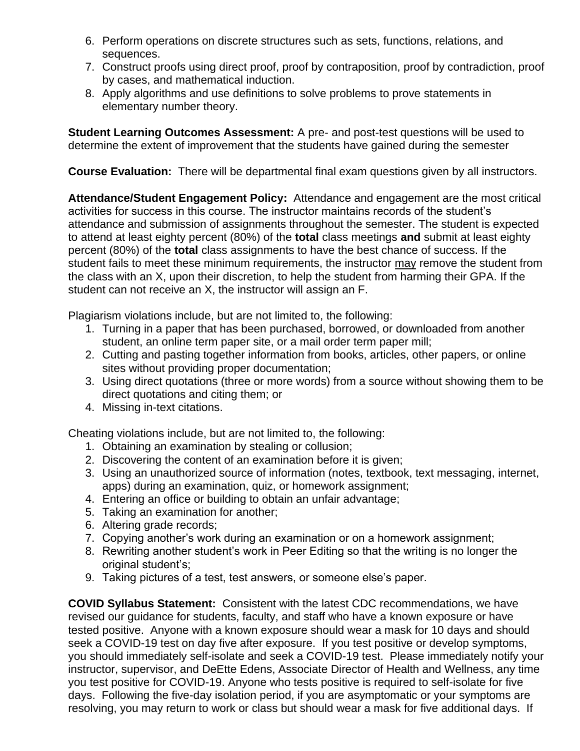- 6. Perform operations on discrete structures such as sets, functions, relations, and sequences.
- 7. Construct proofs using direct proof, proof by contraposition, proof by contradiction, proof by cases, and mathematical induction.
- 8. Apply algorithms and use definitions to solve problems to prove statements in elementary number theory.

**Student Learning Outcomes Assessment:** A pre- and post-test questions will be used to determine the extent of improvement that the students have gained during the semester

**Course Evaluation:** There will be departmental final exam questions given by all instructors.

**Attendance/Student Engagement Policy:** Attendance and engagement are the most critical activities for success in this course. The instructor maintains records of the student's attendance and submission of assignments throughout the semester. The student is expected to attend at least eighty percent (80%) of the **total** class meetings **and** submit at least eighty percent (80%) of the **total** class assignments to have the best chance of success. If the student fails to meet these minimum requirements, the instructor may remove the student from the class with an X, upon their discretion, to help the student from harming their GPA. If the student can not receive an X, the instructor will assign an F.

Plagiarism violations include, but are not limited to, the following:

- 1. Turning in a paper that has been purchased, borrowed, or downloaded from another student, an online term paper site, or a mail order term paper mill;
- 2. Cutting and pasting together information from books, articles, other papers, or online sites without providing proper documentation;
- 3. Using direct quotations (three or more words) from a source without showing them to be direct quotations and citing them; or
- 4. Missing in-text citations.

Cheating violations include, but are not limited to, the following:

- 1. Obtaining an examination by stealing or collusion;
- 2. Discovering the content of an examination before it is given;
- 3. Using an unauthorized source of information (notes, textbook, text messaging, internet, apps) during an examination, quiz, or homework assignment;
- 4. Entering an office or building to obtain an unfair advantage;
- 5. Taking an examination for another;
- 6. Altering grade records;
- 7. Copying another's work during an examination or on a homework assignment;
- 8. Rewriting another student's work in Peer Editing so that the writing is no longer the original student's;
- 9. Taking pictures of a test, test answers, or someone else's paper.

**COVID Syllabus Statement:** Consistent with the latest CDC recommendations, we have revised our guidance for students, faculty, and staff who have a known exposure or have tested positive. Anyone with a known exposure should wear a mask for 10 days and should seek a COVID-19 test on day five after exposure. If you test positive or develop symptoms, you should immediately self-isolate and seek a COVID-19 test. Please immediately notify your instructor, supervisor, and DeEtte Edens, Associate Director of Health and Wellness, any time you test positive for COVID-19. Anyone who tests positive is required to self-isolate for five days. Following the five-day isolation period, if you are asymptomatic or your symptoms are resolving, you may return to work or class but should wear a mask for five additional days. If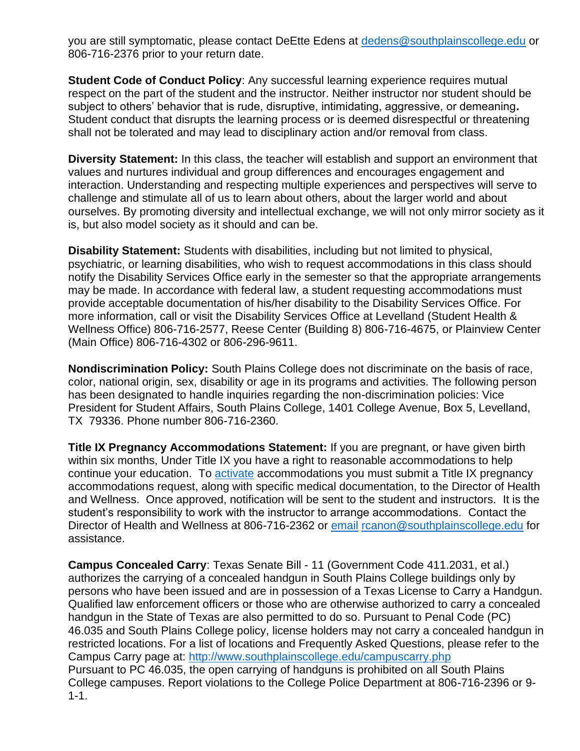you are still symptomatic, please contact DeEtte Edens at<dedens@southplainscollege.edu> or 806-716-2376 prior to your return date.

**Student Code of Conduct Policy:** Any successful learning experience requires mutual respect on the part of the student and the instructor. Neither instructor nor student should be subject to others' behavior that is rude, disruptive, intimidating, aggressive, or demeaning**.**  Student conduct that disrupts the learning process or is deemed disrespectful or threatening shall not be tolerated and may lead to disciplinary action and/or removal from class.

**Diversity Statement:** In this class, the teacher will establish and support an environment that values and nurtures individual and group differences and encourages engagement and interaction. Understanding and respecting multiple experiences and perspectives will serve to challenge and stimulate all of us to learn about others, about the larger world and about ourselves. By promoting diversity and intellectual exchange, we will not only mirror society as it is, but also model society as it should and can be.

**Disability Statement:** Students with disabilities, including but not limited to physical, psychiatric, or learning disabilities, who wish to request accommodations in this class should notify the Disability Services Office early in the semester so that the appropriate arrangements may be made. In accordance with federal law, a student requesting accommodations must provide acceptable documentation of his/her disability to the Disability Services Office. For more information, call or visit the Disability Services Office at Levelland (Student Health & Wellness Office) 806-716-2577, Reese Center (Building 8) 806-716-4675, or Plainview Center (Main Office) 806-716-4302 or 806-296-9611.

**Nondiscrimination Policy:** South Plains College does not discriminate on the basis of race, color, national origin, sex, disability or age in its programs and activities. The following person has been designated to handle inquiries regarding the non-discrimination policies: Vice President for Student Affairs, South Plains College, 1401 College Avenue, Box 5, Levelland, TX 79336. Phone number 806-716-2360.

**Title IX Pregnancy Accommodations Statement:** If you are pregnant, or have given birth within six months, Under Title IX you have a right to reasonable accommodations to help continue your education. To **[activate](http://www.southplainscollege.edu/employees/manualshandbooks/facultyhandbook/sec4.php)** accommodations you must submit a Title IX pregnancy accommodations request, along with specific medical documentation, to the Director of Health and Wellness. Once approved, notification will be sent to the student and instructors. It is the student's responsibility to work with the instructor to arrange accommodations. Contact the Director of Health and Wellness at 806-716-2362 or [email](http://www.southplainscollege.edu/employees/manualshandbooks/facultyhandbook/sec4.php) [rcanon@southplainscollege.edu](mailto:rcanon@southplainscollege.edu) for assistance.

**Campus Concealed Carry**: Texas Senate Bill - 11 (Government Code 411.2031, et al.) authorizes the carrying of a concealed handgun in South Plains College buildings only by persons who have been issued and are in possession of a Texas License to Carry a Handgun. Qualified law enforcement officers or those who are otherwise authorized to carry a concealed handgun in the State of Texas are also permitted to do so. Pursuant to Penal Code (PC) 46.035 and South Plains College policy, license holders may not carry a concealed handgun in restricted locations. For a list of locations and Frequently Asked Questions, please refer to the Campus Carry page at: <http://www.southplainscollege.edu/campuscarry.php> Pursuant to PC 46.035, the open carrying of handguns is prohibited on all South Plains College campuses. Report violations to the College Police Department at 806-716-2396 or 9- 1-1.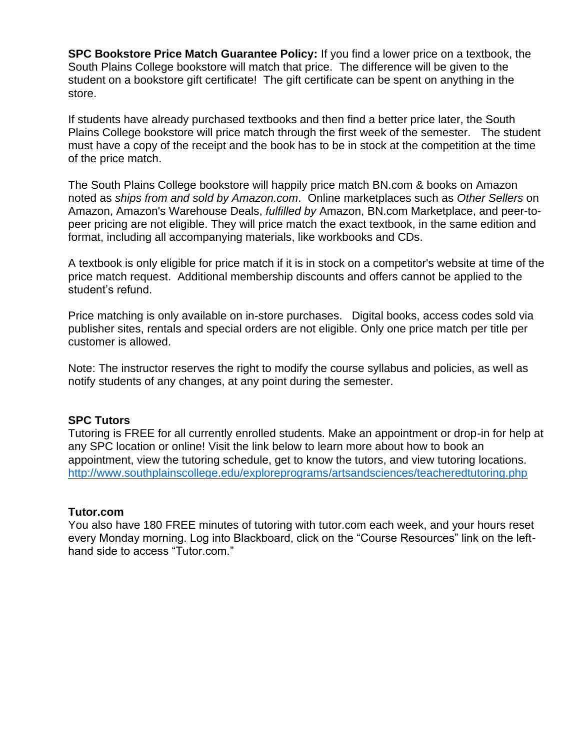**SPC Bookstore Price Match Guarantee Policy:** If you find a lower price on a textbook, the South Plains College bookstore will match that price. The difference will be given to the student on a bookstore gift certificate! The gift certificate can be spent on anything in the store.

If students have already purchased textbooks and then find a better price later, the South Plains College bookstore will price match through the first week of the semester. The student must have a copy of the receipt and the book has to be in stock at the competition at the time of the price match.

The South Plains College bookstore will happily price match BN.com & books on Amazon noted as *ships from and sold by Amazon.com*. Online marketplaces such as *Other Sellers* on Amazon, Amazon's Warehouse Deals, *fulfilled by* Amazon, BN.com Marketplace, and peer-topeer pricing are not eligible. They will price match the exact textbook, in the same edition and format, including all accompanying materials, like workbooks and CDs.

A textbook is only eligible for price match if it is in stock on a competitor's website at time of the price match request. Additional membership discounts and offers cannot be applied to the student's refund.

Price matching is only available on in-store purchases. Digital books, access codes sold via publisher sites, rentals and special orders are not eligible. Only one price match per title per customer is allowed.

Note: The instructor reserves the right to modify the course syllabus and policies, as well as notify students of any changes, at any point during the semester.

# **SPC Tutors**

Tutoring is FREE for all currently enrolled students. Make an appointment or drop-in for help at any SPC location or online! Visit the link below to learn more about how to book an appointment, view the tutoring schedule, get to know the tutors, and view tutoring locations. <http://www.southplainscollege.edu/exploreprograms/artsandsciences/teacheredtutoring.php>

#### **Tutor.com**

You also have 180 FREE minutes of tutoring with tutor.com each week, and your hours reset every Monday morning. Log into Blackboard, click on the "Course Resources" link on the lefthand side to access "Tutor.com."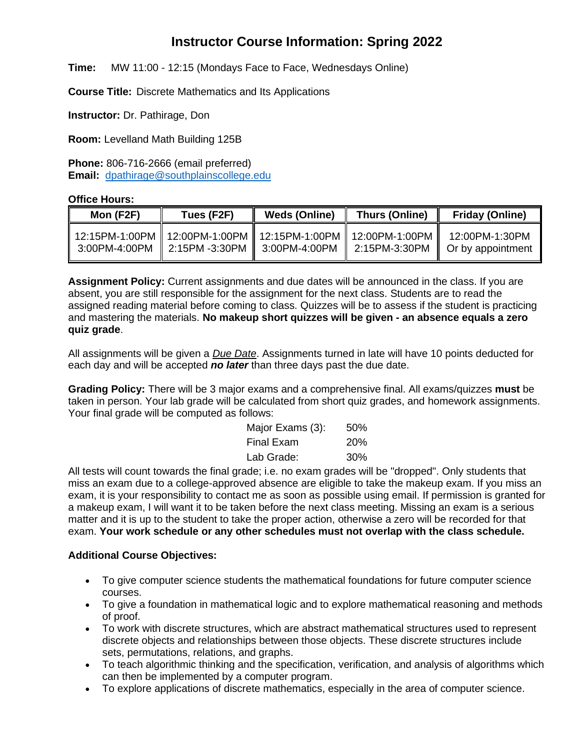# **Instructor Course Information: Spring 2022**

**Time:** MW 11:00 - 12:15 (Mondays Face to Face, Wednesdays Online)

**Course Title:** Discrete Mathematics and Its Applications

**Instructor:** Dr. Pathirage, Don

**Room:** Levelland Math Building 125B

**Phone:** 806-716-2666 (email preferred) **Email:** [dpathirage@southplainscollege.edu](mailto:dpathirage@southplainscollege.edu)

#### **Office Hours:**

| Mon (F2F) | Tues (F2F)                                     | <b>Weds (Online)</b>                                                 | Thurs (Online) | <b>Friday (Online)</b>                                |
|-----------|------------------------------------------------|----------------------------------------------------------------------|----------------|-------------------------------------------------------|
|           | 3:00PM-4:00PM   2:15PM -3:30PM   3:00PM-4:00PM | 12:15PM-1:00PM    12:00PM-1:00PM    12:15PM-1:00PM    12:00PM-1:00PM |                | 12:00PM-1:30PM<br>  2:15PM-3:30PM   Or by appointment |

**Assignment Policy:** Current assignments and due dates will be announced in the class. If you are absent, you are still responsible for the assignment for the next class. Students are to read the assigned reading material before coming to class. Quizzes will be to assess if the student is practicing and mastering the materials. **No makeup short quizzes will be given - an absence equals a zero quiz grade**.

All assignments will be given a *Due Date*. Assignments turned in late will have 10 points deducted for each day and will be accepted *no later* than three days past the due date.

**Grading Policy:** There will be 3 major exams and a comprehensive final. All exams/quizzes **must** be taken in person. Your lab grade will be calculated from short quiz grades, and homework assignments. Your final grade will be computed as follows:

| Major Exams (3): | 50%        |
|------------------|------------|
| Final Exam       | <b>20%</b> |
| Lab Grade:       | 30%        |

All tests will count towards the final grade; i.e. no exam grades will be "dropped". Only students that miss an exam due to a college-approved absence are eligible to take the makeup exam. If you miss an exam, it is your responsibility to contact me as soon as possible using email. If permission is granted for a makeup exam, I will want it to be taken before the next class meeting. Missing an exam is a serious matter and it is up to the student to take the proper action, otherwise a zero will be recorded for that exam. **Your work schedule or any other schedules must not overlap with the class schedule.**

#### **Additional Course Objectives:**

- To give computer science students the mathematical foundations for future computer science courses.
- To give a foundation in mathematical logic and to explore mathematical reasoning and methods of proof.
- To work with discrete structures, which are abstract mathematical structures used to represent discrete objects and relationships between those objects. These discrete structures include sets, permutations, relations, and graphs.
- To teach algorithmic thinking and the specification, verification, and analysis of algorithms which can then be implemented by a computer program.
- To explore applications of discrete mathematics, especially in the area of computer science.